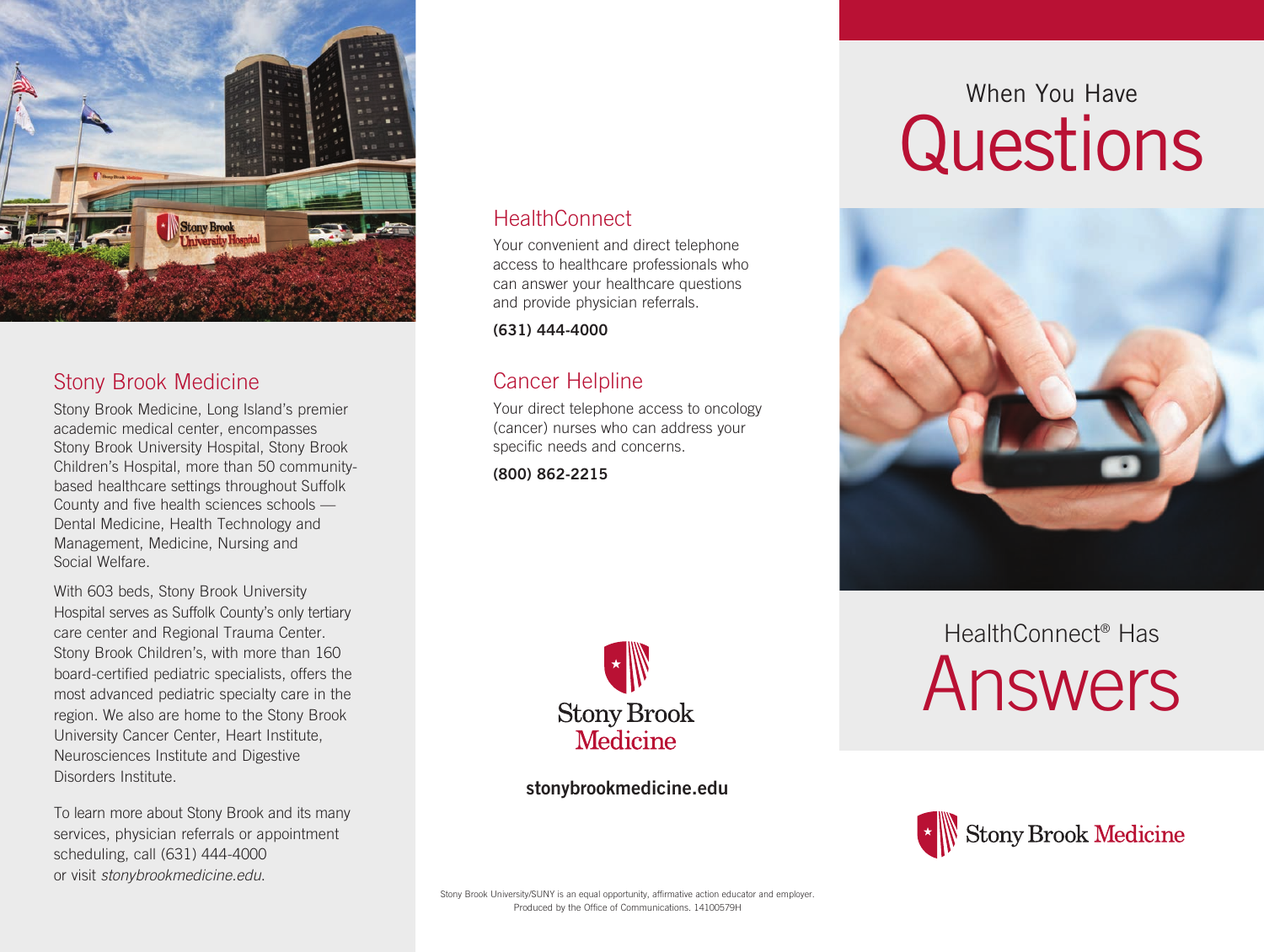

### Stony Brook Medicine

Stony Brook Medicine, Long Island's premier academic medical center, encompasses Stony Brook University Hospital, Stony Brook Children's Hospital, more than 50 communitybased healthcare settings throughout Suffolk County and five health sciences schools — Dental Medicine, Health Technology and Management, Medicine, Nursing and Social Welfare.

With 603 beds, Stony Brook University Hospital serves as Suffolk County's only tertiary care center and Regional Trauma Center. Stony Brook Children's, with more than 160 board-certified pediatric specialists, offers the most advanced pediatric specialty care in the region. We also are home to the Stony Brook University Cancer Center, Heart Institute, Neurosciences Institute and Digestive Disorders Institute.

To learn more about Stony Brook and its many services, physician referrals or appointment scheduling, call (631) 444-4000 or visit *stonybrookmedicine.edu*.

#### HealthConnect

Your convenient and direct telephone access to healthcare professionals who can answer your healthcare questions and provide physician referrals.

**(631) 444-4000**

### Cancer Helpline

Your direct telephone access to oncology (cancer) nurses who can address your specific needs and concerns.

**(800) 862-2215**



**stonybrookmedicine.edu**

# When You Have **Questions**



## HealthConnect® Has Answers